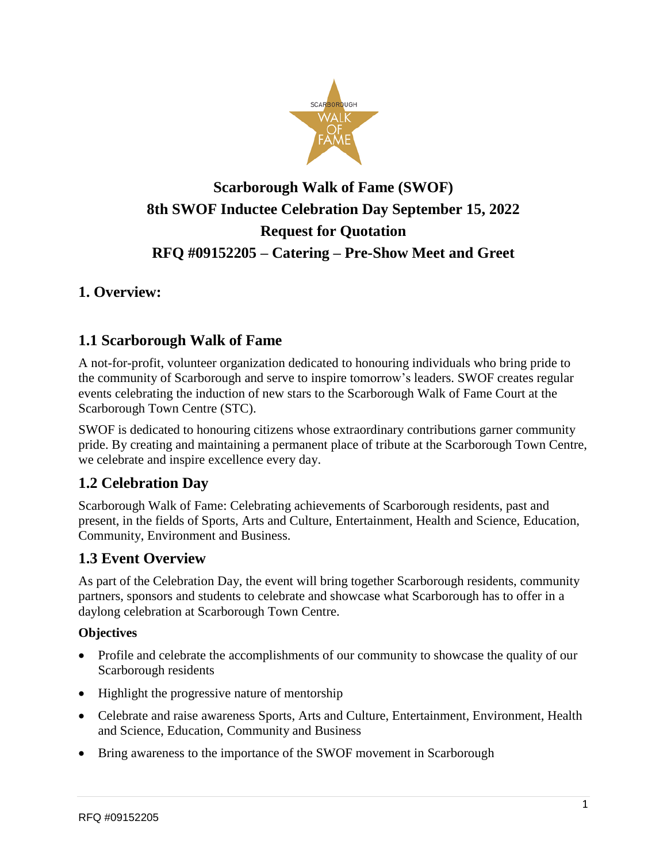

# **Scarborough Walk of Fame (SWOF) 8th SWOF Inductee Celebration Day September 15, 2022 Request for Quotation RFQ #09152205 – Catering – Pre-Show Meet and Greet**

# **1. Overview:**

# **1.1 Scarborough Walk of Fame**

A not-for-profit, volunteer organization dedicated to honouring individuals who bring pride to the community of Scarborough and serve to inspire tomorrow's leaders. SWOF creates regular events celebrating the induction of new stars to the Scarborough Walk of Fame Court at the Scarborough Town Centre (STC).

SWOF is dedicated to honouring citizens whose extraordinary contributions garner community pride. By creating and maintaining a permanent place of tribute at the Scarborough Town Centre, we celebrate and inspire excellence every day.

# **1.2 Celebration Day**

Scarborough Walk of Fame: Celebrating achievements of Scarborough residents, past and present, in the fields of Sports, Arts and Culture, Entertainment, Health and Science, Education, Community, Environment and Business.

# **1.3 Event Overview**

As part of the Celebration Day, the event will bring together Scarborough residents, community partners, sponsors and students to celebrate and showcase what Scarborough has to offer in a daylong celebration at Scarborough Town Centre.

#### **Objectives**

- Profile and celebrate the accomplishments of our community to showcase the quality of our Scarborough residents
- Highlight the progressive nature of mentorship
- Celebrate and raise awareness Sports, Arts and Culture, Entertainment, Environment, Health and Science, Education, Community and Business
- Bring awareness to the importance of the SWOF movement in Scarborough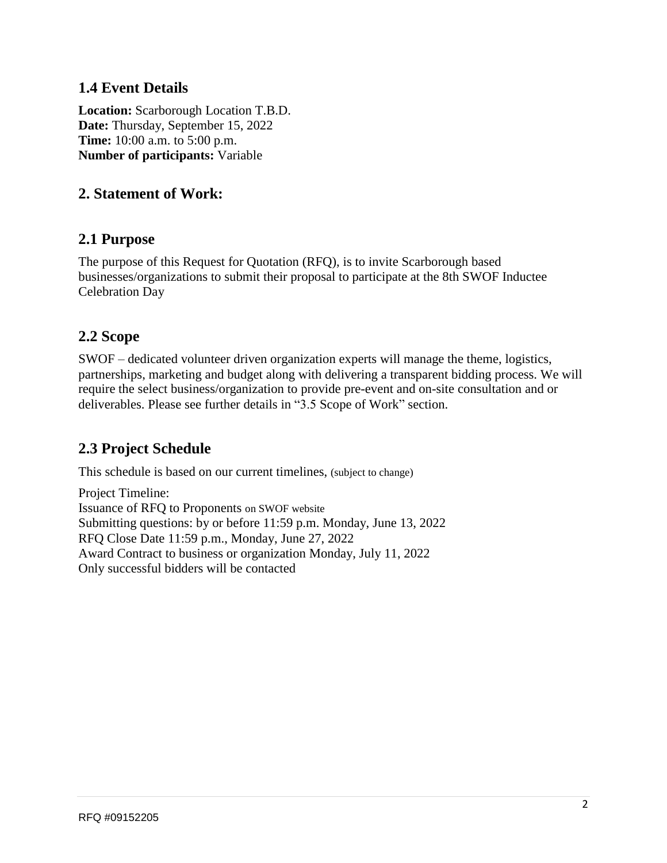### **1.4 Event Details**

**Location:** Scarborough Location T.B.D. **Date:** Thursday, September 15, 2022 **Time:** 10:00 a.m. to 5:00 p.m. **Number of participants:** Variable

### **2. Statement of Work:**

#### **2.1 Purpose**

The purpose of this Request for Quotation (RFQ), is to invite Scarborough based businesses/organizations to submit their proposal to participate at the 8th SWOF Inductee Celebration Day

#### **2.2 Scope**

SWOF – dedicated volunteer driven organization experts will manage the theme, logistics, partnerships, marketing and budget along with delivering a transparent bidding process. We will require the select business/organization to provide pre-event and on-site consultation and or deliverables. Please see further details in "3.5 Scope of Work" section.

# **2.3 Project Schedule**

This schedule is based on our current timelines, (subject to change)

Project Timeline: Issuance of RFQ to Proponents on SWOF website Submitting questions: by or before 11:59 p.m. Monday, June 13, 2022 RFQ Close Date 11:59 p.m., Monday, June 27, 2022 Award Contract to business or organization Monday, July 11, 2022 Only successful bidders will be contacted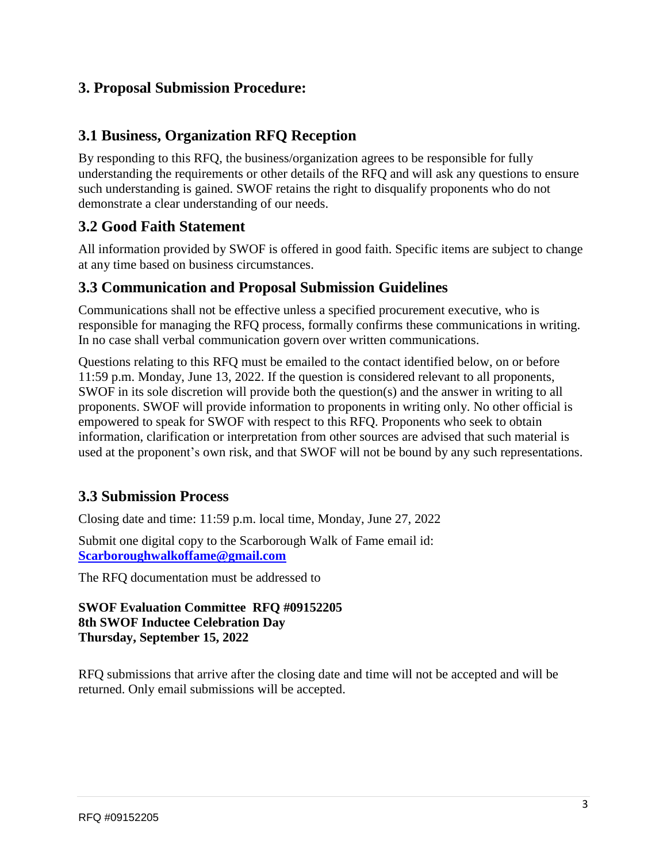### **3. Proposal Submission Procedure:**

### **3.1 Business, Organization RFQ Reception**

By responding to this RFQ, the business/organization agrees to be responsible for fully understanding the requirements or other details of the RFQ and will ask any questions to ensure such understanding is gained. SWOF retains the right to disqualify proponents who do not demonstrate a clear understanding of our needs.

# **3.2 Good Faith Statement**

All information provided by SWOF is offered in good faith. Specific items are subject to change at any time based on business circumstances.

#### **3.3 Communication and Proposal Submission Guidelines**

Communications shall not be effective unless a specified procurement executive, who is responsible for managing the RFQ process, formally confirms these communications in writing. In no case shall verbal communication govern over written communications.

Questions relating to this RFQ must be emailed to the contact identified below, on or before 11:59 p.m. Monday, June 13, 2022. If the question is considered relevant to all proponents, SWOF in its sole discretion will provide both the question(s) and the answer in writing to all proponents. SWOF will provide information to proponents in writing only. No other official is empowered to speak for SWOF with respect to this RFQ. Proponents who seek to obtain information, clarification or interpretation from other sources are advised that such material is used at the proponent's own risk, and that SWOF will not be bound by any such representations.

# **3.3 Submission Process**

Closing date and time: 11:59 p.m. local time, Monday, June 27, 2022

Submit one digital copy to the Scarborough Walk of Fame email id: **[Scarboroughwalkoffame@gmail.com](mailto:Scarboroughwalkoffame@gmail.com)**

The RFQ documentation must be addressed to

#### **SWOF Evaluation Committee RFQ #09152205 8th SWOF Inductee Celebration Day Thursday, September 15, 2022**

RFQ submissions that arrive after the closing date and time will not be accepted and will be returned. Only email submissions will be accepted.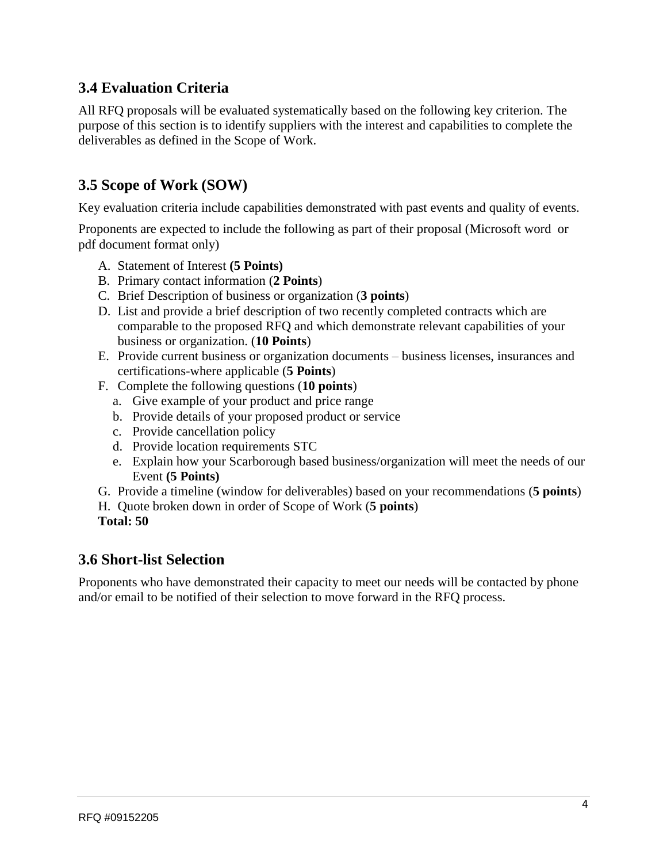# **3.4 Evaluation Criteria**

All RFQ proposals will be evaluated systematically based on the following key criterion. The purpose of this section is to identify suppliers with the interest and capabilities to complete the deliverables as defined in the Scope of Work.

# **3.5 Scope of Work (SOW)**

Key evaluation criteria include capabilities demonstrated with past events and quality of events.

Proponents are expected to include the following as part of their proposal (Microsoft word or pdf document format only)

- A. Statement of Interest **(5 Points)**
- B. Primary contact information (**2 Points**)
- C. Brief Description of business or organization (**3 points**)
- D. List and provide a brief description of two recently completed contracts which are comparable to the proposed RFQ and which demonstrate relevant capabilities of your business or organization. (**10 Points**)
- E. Provide current business or organization documents business licenses, insurances and certifications-where applicable (**5 Points**)
- F. Complete the following questions (**10 points**)
	- a. Give example of your product and price range
	- b. Provide details of your proposed product or service
	- c. Provide cancellation policy
	- d. Provide location requirements STC
	- e. Explain how your Scarborough based business/organization will meet the needs of our Event **(5 Points)**
- G. Provide a timeline (window for deliverables) based on your recommendations (**5 points**)
- H. Quote broken down in order of Scope of Work (**5 points**)
- **Total: 50**

#### **3.6 Short-list Selection**

Proponents who have demonstrated their capacity to meet our needs will be contacted by phone and/or email to be notified of their selection to move forward in the RFQ process.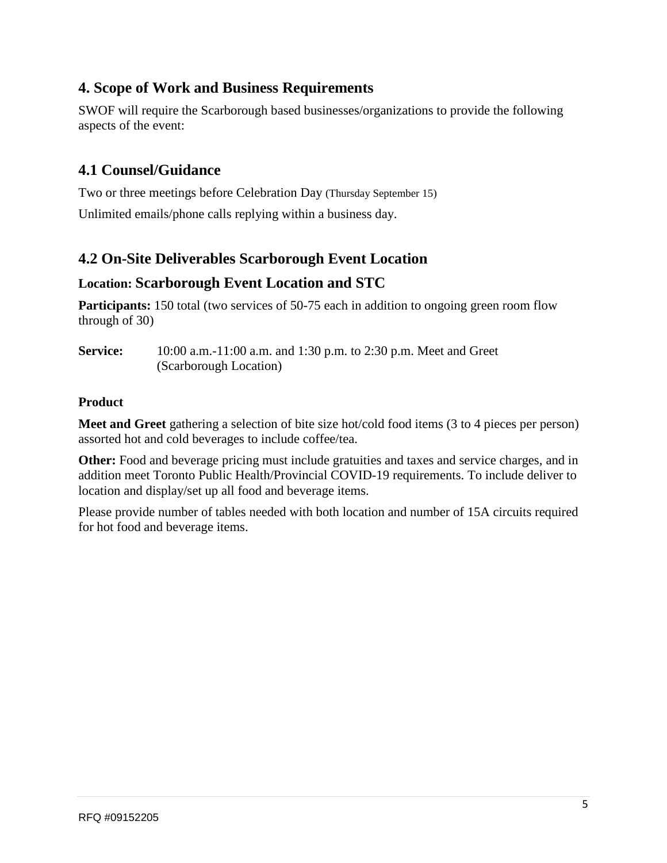# **4. Scope of Work and Business Requirements**

SWOF will require the Scarborough based businesses/organizations to provide the following aspects of the event:

# **4.1 Counsel/Guidance**

Two or three meetings before Celebration Day (Thursday September 15) Unlimited emails/phone calls replying within a business day.

# **4.2 On-Site Deliverables Scarborough Event Location**

#### **Location: Scarborough Event Location and STC**

**Participants:** 150 total (two services of 50-75 each in addition to ongoing green room flow through of 30)

**Service:** 10:00 a.m.-11:00 a.m. and 1:30 p.m. to 2:30 p.m. Meet and Greet (Scarborough Location)

#### **Product**

**Meet and Greet** gathering a selection of bite size hot/cold food items (3 to 4 pieces per person) assorted hot and cold beverages to include coffee/tea.

**Other:** Food and beverage pricing must include gratuities and taxes and service charges, and in addition meet Toronto Public Health/Provincial COVID-19 requirements. To include deliver to location and display/set up all food and beverage items.

Please provide number of tables needed with both location and number of 15A circuits required for hot food and beverage items.